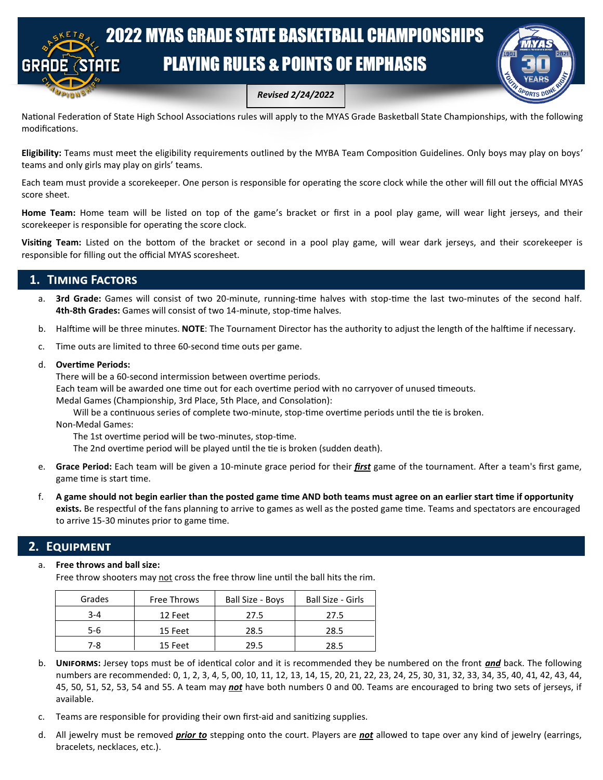# 2022 MYAS GRADE STATE BASKETBALL CHAMPIONSHIPS PLAYING RULES & POINTS OF EMPHASIS



*Revised 2/24/2022*

National Federation of State High School Associations rules will apply to the MYAS Grade Basketball State Championships, with the following modifications.

**Eligibility:** Teams must meet the eligibility requirements outlined by the MYBA Team Composition Guidelines. Only boys may play on boys' teams and only girls may play on girls' teams.

Each team must provide a scorekeeper. One person is responsible for operating the score clock while the other will fill out the official MYAS score sheet.

**Home Team:** Home team will be listed on top of the game's bracket or first in a pool play game, will wear light jerseys, and their scorekeeper is responsible for operating the score clock.

**Visiting Team:** Listed on the bottom of the bracket or second in a pool play game, will wear dark jerseys, and their scorekeeper is responsible for filling out the official MYAS scoresheet.

## **1. Timing Factors**

- a. **3rd Grade:** Games will consist of two 20-minute, running-time halves with stop-time the last two-minutes of the second half. **4th-8th Grades:** Games will consist of two 14-minute, stop-time halves.
- b. Halftime will be three minutes. **NOTE**: The Tournament Director has the authority to adjust the length of the halftime if necessary.
- c. Time outs are limited to three 60-second time outs per game.
- d. **Overtime Periods:**

There will be a 60-second intermission between overtime periods.

Each team will be awarded one time out for each overtime period with no carryover of unused timeouts.

Medal Games (Championship, 3rd Place, 5th Place, and Consolation):

Will be a continuous series of complete two-minute, stop-time overtime periods until the tie is broken.

Non-Medal Games:

The 1st overtime period will be two-minutes, stop-time.

The 2nd overtime period will be played until the tie is broken (sudden death).

- e. **Grace Period:** Each team will be given a 10-minute grace period for their *first* game of the tournament. After a team's first game, game time is start time.
- f. **A game should not begin earlier than the posted game time AND both teams must agree on an earlier start time if opportunity exists.** Be respectful of the fans planning to arrive to games as well as the posted game time. Teams and spectators are encouraged to arrive 15-30 minutes prior to game time.

### **2. Equipment**

#### a. **Free throws and ball size:**

Free throw shooters may not cross the free throw line until the ball hits the rim.

| Grades  | <b>Free Throws</b> | Ball Size - Boys | <b>Ball Size - Girls</b> |
|---------|--------------------|------------------|--------------------------|
| $3 - 4$ | 12 Feet            | 27.5             | 27.5                     |
| 5-6     | 15 Feet            | 28.5             | 28.5                     |
| 7-8     | 15 Feet            | 29.5             | 28.5                     |

- b. **Uniforms:** Jersey tops must be of identical color and it is recommended they be numbered on the front *and* back. The following numbers are recommended: 0, 1, 2, 3, 4, 5, 00, 10, 11, 12, 13, 14, 15, 20, 21, 22, 23, 24, 25, 30, 31, 32, 33, 34, 35, 40, 41, 42, 43, 44, 45, 50, 51, 52, 53, 54 and 55. A team may *not* have both numbers 0 and 00. Teams are encouraged to bring two sets of jerseys, if available.
- c. Teams are responsible for providing their own first-aid and sanitizing supplies.
- d. All jewelry must be removed *prior to* stepping onto the court. Players are *not* allowed to tape over any kind of jewelry (earrings, bracelets, necklaces, etc.).